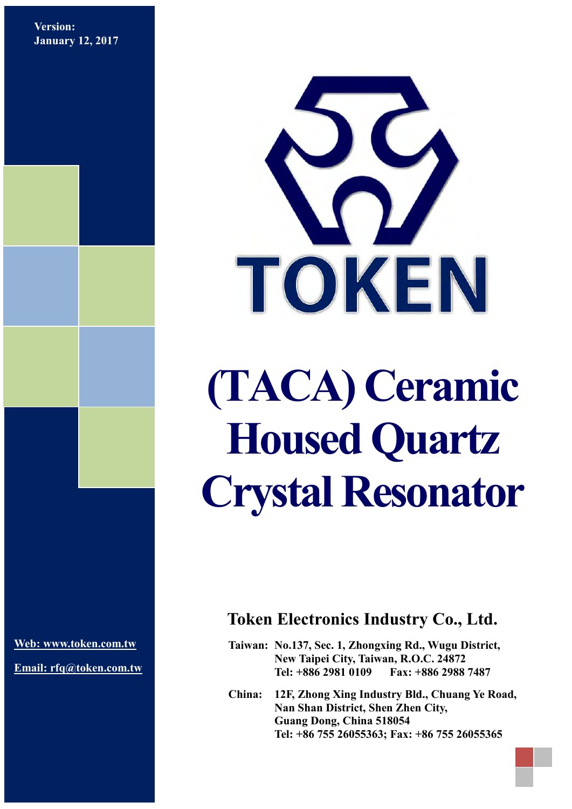**Version: January 12, 2017**



# **(TACA) Ceramic Housed Quartz Crystal Resonator**

**[Web: www.token.com.tw](http://www.token.com.tw/)**

**Email: rfq@token.com.tw**

#### **Token Electronics Industry Co., Ltd.**

**Taiwan: No.137, Sec. 1, Zhongxing Rd., Wugu District, New Taipei City, Taiwan, R.O.C. 24872 Tel: +886 2981 0109 Fax: +886 2988 7487**

**China: 12F, Zhong Xing Industry Bld., Chuang Ye Road, Nan Shan District, Shen Zhen City, Guang Dong, China 518054 Tel: +86 755 26055363; Fax: +86 755 26055365**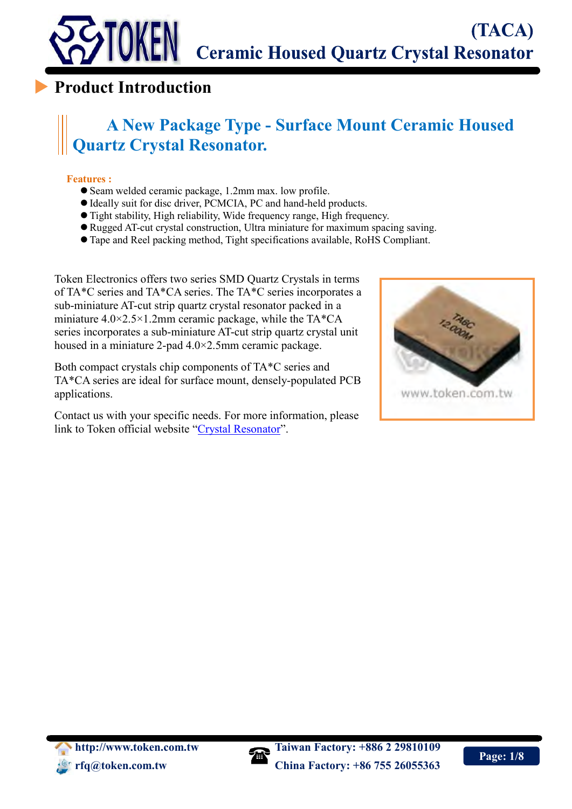

#### **Product Introduction**

# **A New Package Type - Surface Mount Ceramic Housed Quartz Crystal Resonator.**

#### **Features :**

 $\overline{a}$ 

- Seam welded ceramic package, 1.2mm max. low profile.
- Ideally suit for disc driver, PCMCIA, PC and hand-held products.
- Tight stability, High reliability, Wide frequency range, High frequency.
- Rugged AT-cut crystal construction, Ultra miniature for maximum spacing saving.
- Tape and Reel packing method, Tight specifications available, RoHS Compliant.

Token Electronics offers two series SMD Quartz Crystals in terms of TA\*C series and TA\*CA series. The TA\*C series incorporates a sub-miniature AT-cut strip quartz crystal resonator packed in a miniature  $4.0 \times 2.5 \times 1.2$ mm ceramic package, while the TA\*CA series incorporates a sub-miniature AT-cut strip quartz crystal unit housed in a miniature 2-pad 4.0×2.5mm ceramic package.

Both compact crystals chip components of TA\*C series and TA\*CA series are ideal for surface mount, densely-populated PCB applications.

Contact us with your specific needs. For more information, please link to Token official website "[Crystal Resonator](http://www.token.com.tw/crystal-resonator/index.html)".



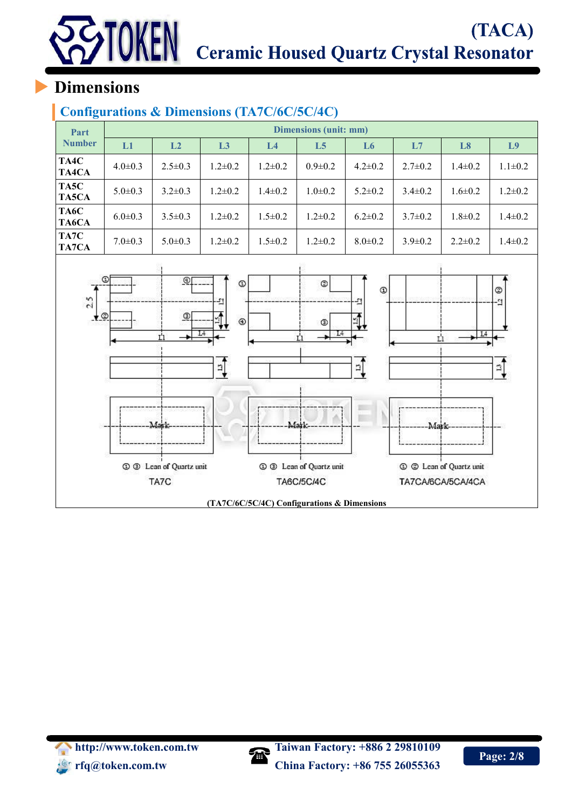# (TACA) Ceramic Housed Quartz Crystal Resonator

# **Dimensions**

**TOKEN** 

#### **Configurations & Dimensions (TA7C/6C/5C/4C)**

| Part          | Dimensions (unit: mm) |                |                |                |                |                |               |                |                |  |  |
|---------------|-----------------------|----------------|----------------|----------------|----------------|----------------|---------------|----------------|----------------|--|--|
| <b>Number</b> | L1                    | L <sub>2</sub> | L <sub>3</sub> | L <sub>4</sub> | L <sub>5</sub> | L <sub>6</sub> | L7            | L <sub>8</sub> | L <sub>9</sub> |  |  |
| TA4C<br>TA4CA | $4.0 \pm 0.3$         | $2.5 \pm 0.3$  | $1.2 \pm 0.2$  | $1.2 \pm 0.2$  | $0.9 \pm 0.2$  | $4.2 \pm 0.2$  | $2.7 \pm 0.2$ | $1.4 \pm 0.2$  | $1.1 \pm 0.2$  |  |  |
| TA5C<br>TA5CA | $5.0 \pm 0.3$         | $3.2 \pm 0.3$  | $1.2 \pm 0.2$  | $1.4 \pm 0.2$  | $1.0 \pm 0.2$  | $5.2 \pm 0.2$  | $3.4 \pm 0.2$ | $1.6 \pm 0.2$  | $1.2 \pm 0.2$  |  |  |
| TA6C<br>TA6CA | $6.0 \pm 0.3$         | $3.5 \pm 0.3$  | $1.2 \pm 0.2$  | $1.5 \pm 0.2$  | $1.2 \pm 0.2$  | $6.2 \pm 0.2$  | $3.7 \pm 0.2$ | $1.8 \pm 0.2$  | $1.4 \pm 0.2$  |  |  |
| TA7C<br>TA7CA | $7.0 \pm 0.3$         | $5.0 \pm 0.3$  | $1.2 \pm 0.2$  | $1.5 \pm 0.2$  | $1.2 \pm 0.2$  | $8.0 \pm 0.2$  | $3.9 \pm 0.2$ | $2.2 \pm 0.2$  | $1.4 \pm 0.2$  |  |  |
|               |                       |                |                |                |                |                |               |                |                |  |  |



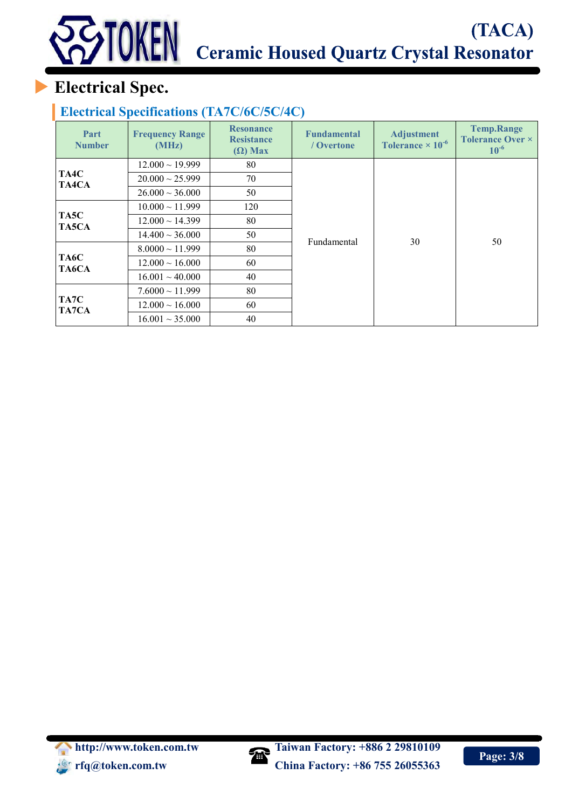# **Electrical Spec.**

#### **Electrical Specifications (TA7C/6C/5C/4C)**

| Part<br><b>Number</b> | <b>Frequency Range</b><br>(MHz) | <b>Resonance</b><br><b>Resistance</b><br>$(\Omega)$ Max | <b>Fundamental</b><br>/ Overtone | <b>Adjustment</b><br>Tolerance $\times 10^{-6}$ | <b>Temp.Range</b><br><b>Tolerance Over ×</b><br>$10^{-6}$ |  |  |
|-----------------------|---------------------------------|---------------------------------------------------------|----------------------------------|-------------------------------------------------|-----------------------------------------------------------|--|--|
|                       | $12.000 \sim 19.999$            | 80                                                      |                                  |                                                 |                                                           |  |  |
| TA4C<br>TA4CA         | $20.000 \sim 25.999$            | 70                                                      |                                  |                                                 | 50                                                        |  |  |
|                       | $26.000 \sim 36.000$            | 50                                                      |                                  |                                                 |                                                           |  |  |
|                       | $10.000 \sim 11.999$            | 120                                                     |                                  |                                                 |                                                           |  |  |
| TA5C<br>TA5CA         | $12.000 \sim 14.399$            | 80                                                      |                                  |                                                 |                                                           |  |  |
|                       | $14.400 \sim 36.000$            | 50                                                      | Fundamental                      | 30                                              |                                                           |  |  |
|                       | $8.0000 \sim 11.999$            | 80                                                      |                                  |                                                 |                                                           |  |  |
| TA6C<br>TA6CA         | $12.000 \sim 16.000$            | 60                                                      |                                  |                                                 |                                                           |  |  |
|                       | $16.001 \sim 40.000$            | 40                                                      |                                  |                                                 |                                                           |  |  |
|                       | $7.6000 \sim 11.999$            | 80                                                      |                                  |                                                 |                                                           |  |  |
| TA7C<br>TA7CA         | $12.000 \sim 16.000$            | 60                                                      |                                  |                                                 |                                                           |  |  |
|                       | $16.001 \sim 35.000$            | 40                                                      |                                  |                                                 |                                                           |  |  |

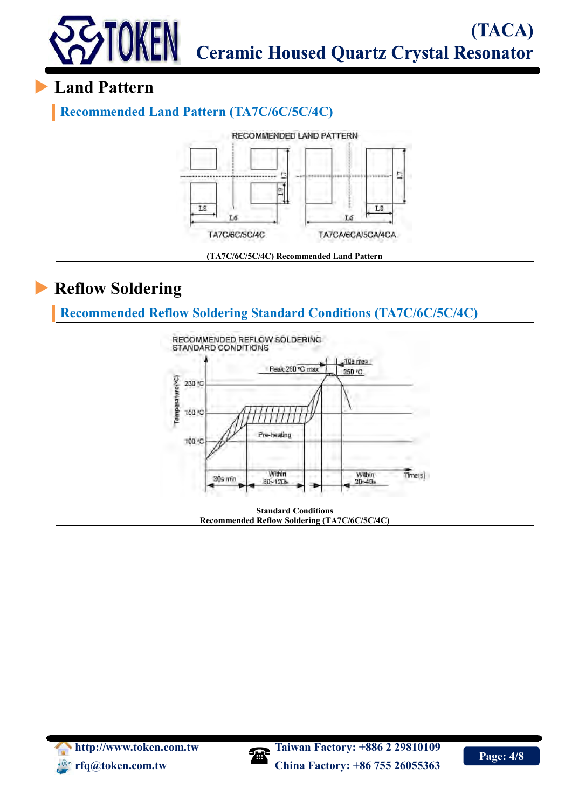

#### **Land Pattern**

**Recommended Land Pattern (TA7C/6C/5C/4C)**



# **Reflow Soldering**

**Recommended Reflow Soldering Standard Conditions (TA7C/6C/5C/4C)**



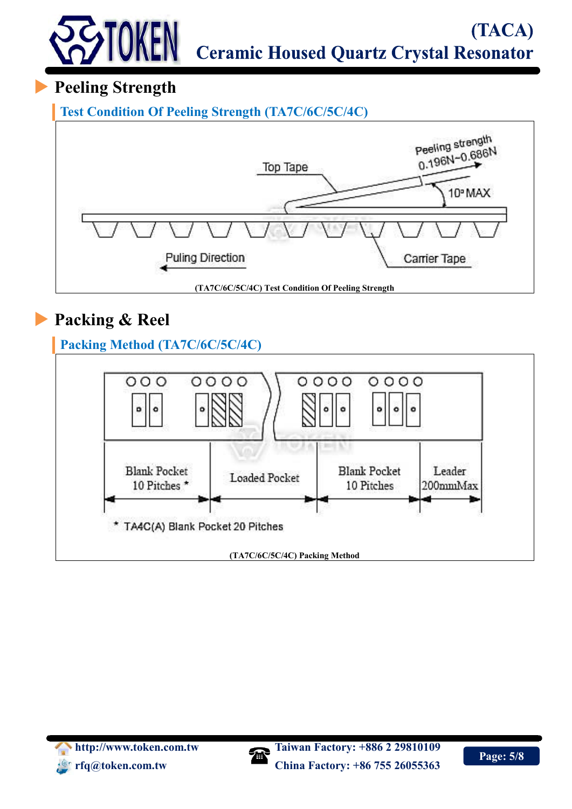#### (TACA) TOKEN **Ceramic Housed Quartz Crystal Resonator**

# **Peeling Strength**

**Test Condition Of Peeling Strength (TA7C/6C/5C/4C)**



# **Packing & Reel**

**Packing Method (TA7C/6C/5C/4C)**



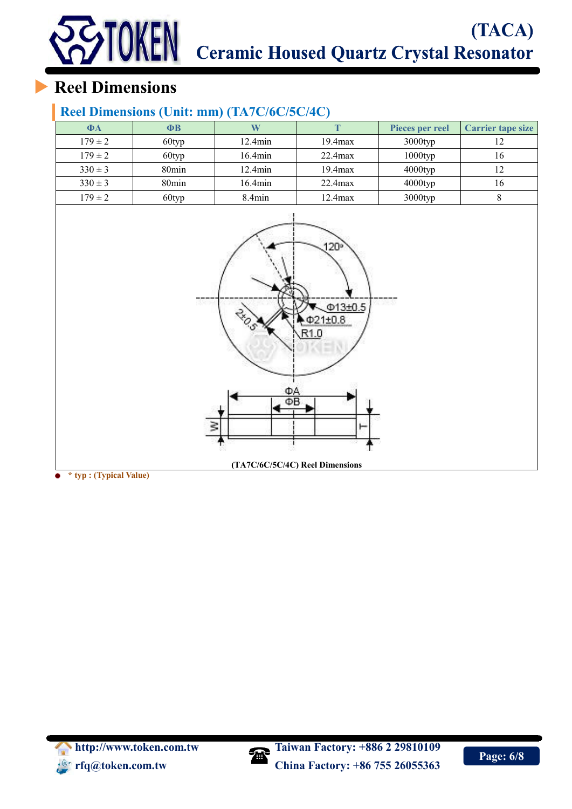# TACA) (TACA)<br>TOKEN Ceramic Housed Quartz Crystal Resonator (TACA)

# **Reel Dimensions**

#### **Reel Dimensions (Unit: mm) (TA7C/6C/5C/4C)**

| $\Phi$ A    | ФB                |                  |              | Pieces per reel | <b>Carrier tape size</b> |
|-------------|-------------------|------------------|--------------|-----------------|--------------------------|
| $179 \pm 2$ | 60typ             | $12.4\text{min}$ | $19.4$ $max$ | 3000typ         |                          |
| $179 \pm 2$ | 60typ             | $16.4\text{min}$ | $22.4$ max   | $1000$ typ      | 16                       |
| $330 \pm 3$ | 80 <sub>min</sub> | $12.4\text{min}$ | $19.4$ $max$ | 4000typ         |                          |
| $330 \pm 3$ | 80 <sub>min</sub> | 16.4min          | $22.4$ max   | $4000$ typ      | 16                       |
| $179 \pm 2$ | 60typ             | $8.4$ min        | $12.4$ $max$ | 3000typ         |                          |



**\* typ : (Typical Value)**

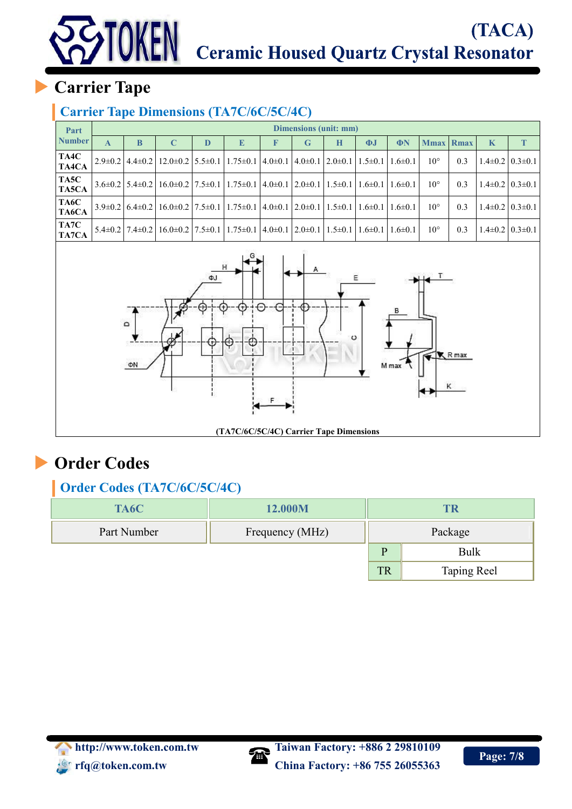# (TACA) Ceramic Housed Quartz Crystal Resonator

# **Carrier Tape**

TOKEN

#### **Carrier Tape Dimensions (TA7C/6C/5C/4C)**

| Part                 |   | Dimensions (unit: mm) |             |   |                                                                                                                                             |   |   |   |          |               |              |                  |   |                           |
|----------------------|---|-----------------------|-------------|---|---------------------------------------------------------------------------------------------------------------------------------------------|---|---|---|----------|---------------|--------------|------------------|---|---------------------------|
| <b>Number</b>        | A | B                     | $\mathbf C$ | D | E                                                                                                                                           | F | G | H | $\Phi$ J | $\Phi$ N      |              | <b>Mmax</b> Rmax | K |                           |
| TA4C<br>TA4CA        |   |                       |             |   | $2.9\pm0.2$ 4.4 $\pm0.2$ 12.0 $\pm0.2$ 5.5 $\pm0.1$ 1.75 $\pm0.1$ 4.0 $\pm0.1$ 4.0 $\pm0.1$ 2.0 $\pm0.1$ 1.5 $\pm0.1$                       |   |   |   |          | $1.6 \pm 0.1$ | $10^{\circ}$ | 0.3              |   | $1.4\pm0.2$   $0.3\pm0.1$ |
| TA5C<br>TA5CA        |   |                       |             |   | $3.6\pm0.2$ $5.4\pm0.2$ $16.0\pm0.2$ $7.5\pm0.1$ $1.75\pm0.1$ $4.0\pm0.1$ $2.0\pm0.1$ $1.5\pm0.1$ $1.6\pm0.1$ $1.6\pm0.1$                   |   |   |   |          |               | $10^{\circ}$ | 0.3              |   | $1.4\pm0.2$   $0.3\pm0.1$ |
| TA6C<br>TA6CA        |   |                       |             |   | $3.9\pm0.2$ $6.4\pm0.2$ $16.0\pm0.2$ $7.5\pm0.1$ $1.75\pm0.1$ $4.0\pm0.1$ $2.0\pm0.1$ $1.5\pm0.1$ $1.6\pm0.1$ $1.6\pm0.1$                   |   |   |   |          |               | $10^{\circ}$ | 0.3              |   | $1.4\pm0.2$   $0.3\pm0.1$ |
| TA7C<br><b>TA7CA</b> |   |                       |             |   | $5.4\pm0.2$   $7.4\pm0.2$   $16.0\pm0.2$   $7.5\pm0.1$   $1.75\pm0.1$   $4.0\pm0.1$   $2.0\pm0.1$   $1.5\pm0.1$   $1.6\pm0.1$   $1.6\pm0.1$ |   |   |   |          |               | $10^{\circ}$ | 0.3              |   | $1.4\pm0.2$   $0.3\pm0.1$ |



### **Order Codes**

#### **Order Codes (TA7C/6C/5C/4C)**

| TA6C        | 12.000M         | TR          |                    |  |  |
|-------------|-----------------|-------------|--------------------|--|--|
| Part Number | Frequency (MHz) | Package     |                    |  |  |
|             | D               | <b>Bulk</b> |                    |  |  |
|             |                 | TR          | <b>Taping Reel</b> |  |  |